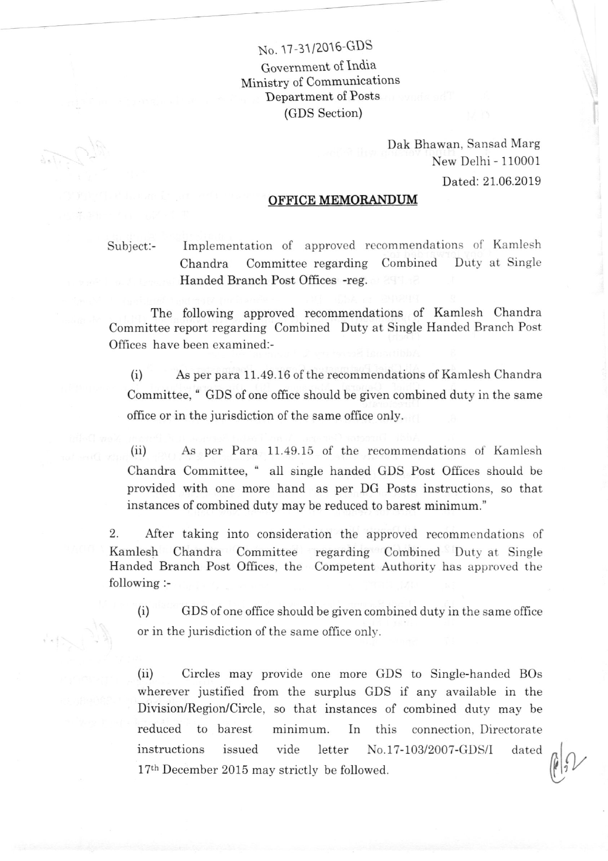## No. 17-31/2016-GDS

Government of lndia Ministry of Communications Department of Posts (GDS Section)

> Dak Bhawan, Sansad Marg New Delhi - 110001 Dated: 21.06.2019

## <u>OFFICE MEMORANDUM</u>

Subject:- Implementation of approved recommendations of Kamlesh Chandra Committee regarding Combined Duty at Single Handed Branch Post Offices -reg.

The following approved recommendations of Kamlesh Chandra Committee report regarding Combined Duty at Single Handed Branch Post Offices have been examined:-

(i) As per para 11.49.16 of the recommendations of Kamlesh Chandra Committee, " GDS of one office should be given combined duty in the same office or in the jurisdiction of the same office only.

(ii) As per Para 11.49.15 of the recommendations of Kamlesh Chandra Committee, " all single handed GDS Post Offices should be provided with one more hand as per DG Posts instructions, so that instances of combined duty may be reduced to barest minimum."

2. After taking into consideration the approved recommendations of Kamlesh Chandra Committee regarding Combined Duty at Single Handed Branch Post Offices, the Competent Authority has approved the following :-

(i) GDS of one office should be given combined duty in the same office or in the jurisdiction of the same office only.

(ii) Circles may provide one more GDS to Single-handed BOs wherever justified from the surplus GDS if any available in the Division/Region/Circle, so that instances of combined duty may be reduced to barest minimum. In this connection, Directorate instructions issued vide letter No.17-103/2007-GDS/I dated  $17<sup>th</sup>$  December 2015 may strictly be followed.